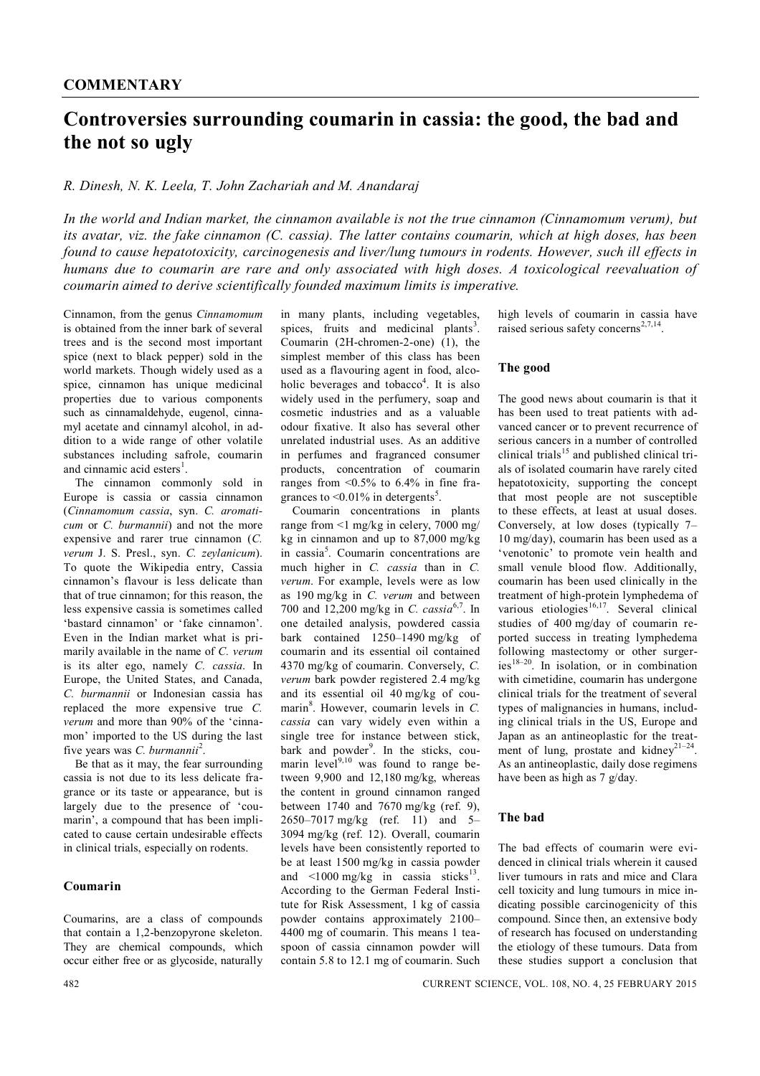# **Controversies surrounding coumarin in cassia: the good, the bad and the not so ugly**

## *R. Dinesh, N. K. Leela, T. John Zachariah and M. Anandaraj*

*In the world and Indian market, the cinnamon available is not the true cinnamon (Cinnamomum verum), but its avatar, viz. the fake cinnamon (C. cassia). The latter contains coumarin, which at high doses, has been found to cause hepatotoxicity, carcinogenesis and liver/lung tumours in rodents. However, such ill effects in humans due to coumarin are rare and only associated with high doses. A toxicological reevaluation of coumarin aimed to derive scientifically founded maximum limits is imperative.*

Cinnamon, from the genus *Cinnamomum* is obtained from the inner bark of several trees and is the second most important spice (next to black pepper) sold in the world markets. Though widely used as a spice, cinnamon has unique medicinal properties due to various components such as cinnamaldehyde, eugenol, cinnamyl acetate and cinnamyl alcohol, in addition to a wide range of other volatile substances including safrole, coumarin and cinnamic acid esters<sup>1</sup>.

The cinnamon commonly sold in Europe is cassia or cassia cinnamon (*Cinnamomum cassia*, syn. *C. aromaticum* or *C. burmannii*) and not the more expensive and rarer true cinnamon (*C. verum* J. S. Presl., syn. *C. zeylanicum*). To quote the Wikipedia entry, Cassia cinnamon's flavour is less delicate than that of true cinnamon; for this reason, the less expensive cassia is sometimes called 'bastard cinnamon' or 'fake cinnamon'. Even in the Indian market what is primarily available in the name of *C. verum* is its alter ego, namely *C. cassia*. In Europe, the United States, and Canada, *C. burmannii* or Indonesian cassia has replaced the more expensive true *C. verum* and more than 90% of the 'cinnamon' imported to the US during the last five years was *C. burmannii*<sup>2</sup> .

Be that as it may, the fear surrounding cassia is not due to its less delicate fragrance or its taste or appearance, but is largely due to the presence of 'coumarin', a compound that has been implicated to cause certain undesirable effects in clinical trials, especially on rodents.

### **Coumarin**

Coumarins, are a class of compounds that contain a 1,2-benzopyrone skeleton. They are chemical compounds, which occur either free or as glycoside, naturally in many plants, including vegetables, spices, fruits and medicinal plants<sup>3</sup>. Coumarin (2H-chromen-2-one) (1), the simplest member of this class has been used as a flavouring agent in food, alcoholic beverages and tobacco<sup>4</sup>. It is also widely used in the perfumery, soap and cosmetic industries and as a valuable odour fixative. It also has several other unrelated industrial uses. As an additive in perfumes and fragranced consumer products, concentration of coumarin ranges from  $\leq 0.5\%$  to 6.4% in fine fragrances to  $\leq 0.01\%$  in detergents<sup>5</sup>.

Coumarin concentrations in plants range from <1 mg/kg in celery, 7000 mg/ kg in cinnamon and up to 87,000 mg/kg in cassia<sup>5</sup>. Coumarin concentrations are much higher in *C. cassia* than in *C. verum*. For example, levels were as low as 190 mg/kg in *C. verum* and between 700 and 12,200 mg/kg in *C. cassia*6,7. In one detailed analysis, powdered cassia bark contained 1250–1490 mg/kg of coumarin and its essential oil contained 4370 mg/kg of coumarin. Conversely, *C. verum* bark powder registered 2.4 mg/kg and its essential oil 40 mg/kg of coumarin<sup>8</sup>. However, coumarin levels in *C*. *cassia* can vary widely even within a single tree for instance between stick, bark and powder<sup>9</sup>. In the sticks, coumarin level<sup>9,10</sup> was found to range between 9,900 and 12,180 mg/kg, whereas the content in ground cinnamon ranged between 1740 and 7670 mg/kg (ref. 9). 2650–7017 mg/kg (ref. 11) and 5– 3094 mg/kg (ref. 12). Overall, coumarin levels have been consistently reported to be at least 1500 mg/kg in cassia powder and  $\leq 1000$  mg/kg in cassia sticks<sup>13</sup> . According to the German Federal Institute for Risk Assessment, 1 kg of cassia powder contains approximately 2100– 4400 mg of coumarin. This means 1 teaspoon of cassia cinnamon powder will contain 5.8 to 12.1 mg of coumarin. Such

high levels of coumarin in cassia have raised serious safety concerns<sup>2,7,14</sup>.

#### **The good**

The good news about coumarin is that it has been used to treat patients with advanced cancer or to prevent recurrence of serious cancers in a number of controlled clinical trials<sup>15</sup> and published clinical trials of isolated coumarin have rarely cited hepatotoxicity, supporting the concept that most people are not susceptible to these effects, at least at usual doses. Conversely, at low doses (typically 7– 10 mg/day), coumarin has been used as a 'venotonic' to promote vein health and small venule blood flow. Additionally, coumarin has been used clinically in the treatment of high-protein lymphedema of various etiologies<sup>16,17</sup>. Several clinical studies of 400 mg/day of coumarin reported success in treating lymphedema following mastectomy or other surger $ies^{18-20}$ . In isolation, or in combination with cimetidine, coumarin has undergone clinical trials for the treatment of several types of malignancies in humans, including clinical trials in the US, Europe and Japan as an antineoplastic for the treatment of lung, prostate and kidney<sup>21-24</sup>. As an antineoplastic, daily dose regimens have been as high as 7 g/day.

## **The bad**

The bad effects of coumarin were evidenced in clinical trials wherein it caused liver tumours in rats and mice and Clara cell toxicity and lung tumours in mice indicating possible carcinogenicity of this compound. Since then, an extensive body of research has focused on understanding the etiology of these tumours. Data from these studies support a conclusion that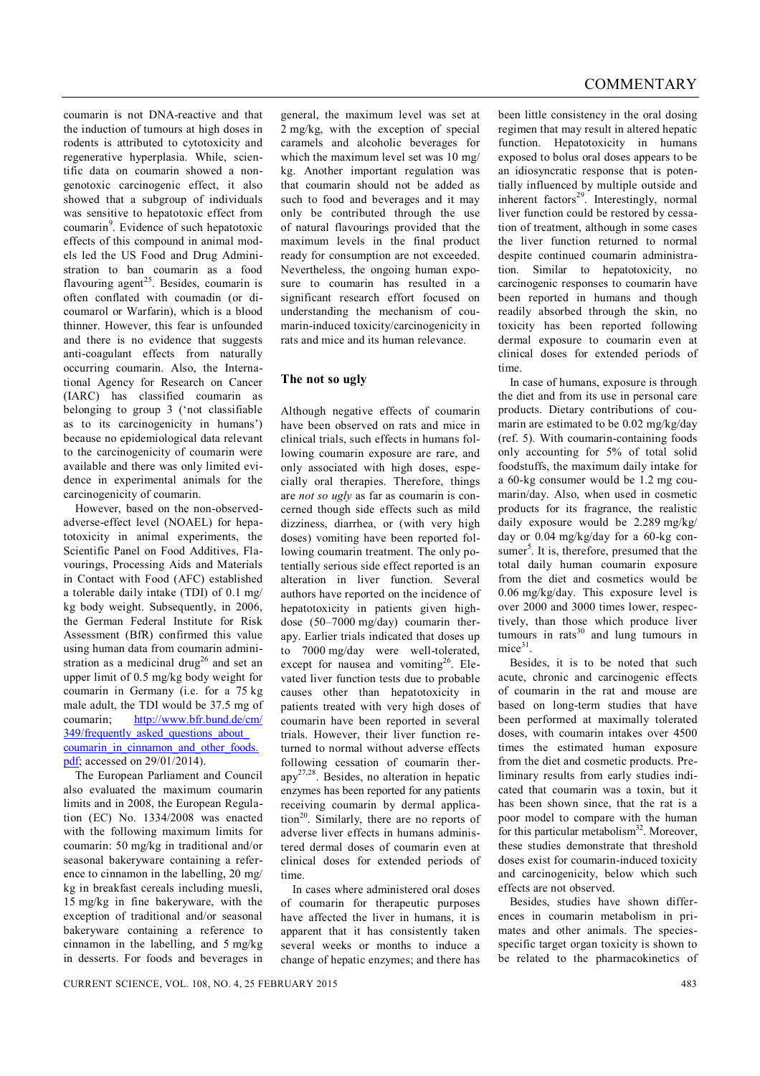coumarin is not DNA-reactive and that the induction of tumours at high doses in rodents is attributed to cytotoxicity and regenerative hyperplasia. While, scientific data on coumarin showed a nongenotoxic carcinogenic effect, it also showed that a subgroup of individuals was sensitive to hepatotoxic effect from coumarin<sup>9</sup>. Evidence of such hepatotoxic effects of this compound in animal models led the US Food and Drug Administration to ban coumarin as a food flavouring agent<sup>25</sup>. Besides, coumarin is often conflated with coumadin (or dicoumarol or Warfarin), which is a blood thinner. However, this fear is unfounded and there is no evidence that suggests anti-coagulant effects from naturally occurring coumarin. Also, the International Agency for Research on Cancer (IARC) has classified coumarin as belonging to group 3 ('not classifiable as to its carcinogenicity in humans') because no epidemiological data relevant to the carcinogenicity of coumarin were available and there was only limited evidence in experimental animals for the carcinogenicity of coumarin.

However, based on the non-observedadverse-effect level (NOAEL) for hepatotoxicity in animal experiments, the Scientific Panel on Food Additives, Flavourings, Processing Aids and Materials in Contact with Food (AFC) established a tolerable daily intake (TDI) of 0.1 mg/ kg body weight. Subsequently, in 2006, the German Federal Institute for Risk Assessment (BfR) confirmed this value using human data from coumarin administration as a medicinal drug<sup>26</sup> and set an upper limit of 0.5 mg/kg body weight for coumarin in Germany (i.e. for a 75 kg male adult, the TDI would be 37.5 mg of<br>coumarin: http://www.bfr.bund.de/cm/ http://www.bfr.bund.de/cm/ 349/frequently asked questions about coumarin\_in\_cinnamon\_and\_other\_foods. pdf; accessed on 29/01/2014).

The European Parliament and Council also evaluated the maximum coumarin limits and in 2008, the European Regulation (EC) No. 1334/2008 was enacted with the following maximum limits for coumarin: 50 mg/kg in traditional and/or seasonal bakeryware containing a reference to cinnamon in the labelling, 20 mg/ kg in breakfast cereals including muesli, 15 mg/kg in fine bakeryware, with the exception of traditional and/or seasonal bakeryware containing a reference to cinnamon in the labelling, and 5 mg/kg in desserts. For foods and beverages in

general, the maximum level was set at 2 mg/kg, with the exception of special caramels and alcoholic beverages for which the maximum level set was 10 mg/ kg. Another important regulation was that coumarin should not be added as such to food and beverages and it may only be contributed through the use of natural flavourings provided that the maximum levels in the final product ready for consumption are not exceeded. Nevertheless, the ongoing human exposure to coumarin has resulted in a significant research effort focused on understanding the mechanism of coumarin-induced toxicity/carcinogenicity in rats and mice and its human relevance.

#### **The not so ugly**

Although negative effects of coumarin have been observed on rats and mice in clinical trials, such effects in humans following coumarin exposure are rare, and only associated with high doses, especially oral therapies. Therefore, things are *not so ugly* as far as coumarin is concerned though side effects such as mild dizziness, diarrhea, or (with very high doses) vomiting have been reported following coumarin treatment. The only potentially serious side effect reported is an alteration in liver function. Several authors have reported on the incidence of hepatotoxicity in patients given highdose (50–7000 mg/day) coumarin therapy. Earlier trials indicated that doses up to 7000 mg/day were well-tolerated, except for nausea and vomiting<sup>26</sup>. Elevated liver function tests due to probable causes other than hepatotoxicity in patients treated with very high doses of coumarin have been reported in several trials. However, their liver function returned to normal without adverse effects following cessation of coumarin ther $app^{27,28}$ . Besides, no alteration in hepatic enzymes has been reported for any patients receiving coumarin by dermal application<sup>20</sup>. Similarly, there are no reports of adverse liver effects in humans administered dermal doses of coumarin even at clinical doses for extended periods of time.

In cases where administered oral doses of coumarin for therapeutic purposes have affected the liver in humans, it is apparent that it has consistently taken several weeks or months to induce a change of hepatic enzymes; and there has been little consistency in the oral dosing regimen that may result in altered hepatic function. Hepatotoxicity in humans exposed to bolus oral doses appears to be an idiosyncratic response that is potentially influenced by multiple outside and inherent factors<sup>29</sup>. Interestingly, normal liver function could be restored by cessation of treatment, although in some cases the liver function returned to normal despite continued coumarin administration. Similar to hepatotoxicity, no carcinogenic responses to coumarin have been reported in humans and though readily absorbed through the skin, no toxicity has been reported following dermal exposure to coumarin even at clinical doses for extended periods of time.

In case of humans, exposure is through the diet and from its use in personal care products. Dietary contributions of coumarin are estimated to be 0.02 mg/kg/day (ref. 5). With coumarin-containing foods only accounting for 5% of total solid foodstuffs, the maximum daily intake for a 60-kg consumer would be 1.2 mg coumarin/day. Also, when used in cosmetic products for its fragrance, the realistic daily exposure would be 2.289 mg/kg/ day or 0.04 mg/kg/day for a 60-kg consumer<sup>5</sup>. It is, therefore, presumed that the total daily human coumarin exposure from the diet and cosmetics would be 0.06 mg/kg/day. This exposure level is over 2000 and 3000 times lower, respectively, than those which produce liver tumours in rats $30$  and lung tumours in mice<sup>31</sup>.

Besides, it is to be noted that such acute, chronic and carcinogenic effects of coumarin in the rat and mouse are based on long-term studies that have been performed at maximally tolerated doses, with coumarin intakes over 4500 times the estimated human exposure from the diet and cosmetic products. Preliminary results from early studies indicated that coumarin was a toxin, but it has been shown since, that the rat is a poor model to compare with the human for this particular metabolism $32$ . Moreover, these studies demonstrate that threshold doses exist for coumarin-induced toxicity and carcinogenicity, below which such effects are not observed.

Besides, studies have shown differences in coumarin metabolism in primates and other animals. The speciesspecific target organ toxicity is shown to be related to the pharmacokinetics of